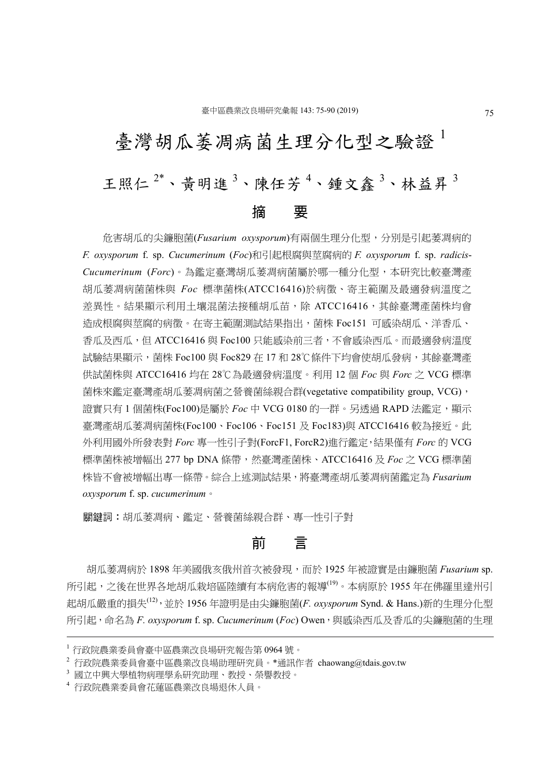# 臺灣胡瓜萎凋病菌生理分化型之驗證1

# 王照仁<sup>2\*</sup>、黄明進3、陳任芳<sup>4</sup>、鍾文鑫3、林益昇3 摘 要

 危害胡瓜的尖鐮胞菌(*Fusarium oxysporum*)有兩個生理分化型,分別是引起萎凋病的 *F. oxysporum* f. sp. *Cucumerinum* (*Foc*)和引起根腐與莖腐病的 *F. oxysporum* f. sp. *radicis*-*Cucumerinum* (*Forc*)。為鑑定臺灣胡瓜萎凋病菌屬於哪一種分化型,本研究比較臺灣產 胡瓜萎凋病菌菌株與 *Foc* 標準菌株(ATCC16416)於病徵、寄主範圍及最適發病溫度之 差異性。結果顯示利用土壤混菌法接種胡瓜苗,除 ATCC16416,其餘臺灣產菌株均會 造成根腐與莖腐的病徵。在寄主範圍測試結果指出,菌株 Foc151 可感染胡瓜、洋香瓜、 香瓜及西瓜,但 ATCC16416 與 Foc100 只能感染前三者,不會感染西瓜。而最適發病溫度 試驗結果顯示,菌株 Foc100 與 Foc829 在 17 和 28℃條件下均會使胡瓜發病,其餘臺灣產 供試菌株與 ATCC16416 均在 28℃為最適發病溫度。利用 12 個 *Foc* 與 *Forc* 之 VCG 標準 菌株來鑑定臺灣產胡瓜萎凋病菌之營養菌絲親合群(vegetative compatibility group, VCG), 證實只有 1 個菌株(Foc100)是屬於 Foc 中 VCG 0180 的一群。另透過 RAPD 法鑑定,顯示 臺灣產胡瓜萎凋病菌株(Foc100、Foc106、Foc151 及 Foc183)與 ATCC16416 較為接近。此 外利用國外所發表對 *Forc* 專一性引子對(ForcF1, ForcR2)進行鑑定,結果僅有 *Forc* 的 VCG 標準菌株被增幅出 277 bp DNA 條帶,然臺灣產菌株、ATCC16416 及 *Foc* 之 VCG 標準菌 株皆不會被增幅出專一條帶。綜合上述測試結果,將臺灣產胡瓜萎凋病菌鑑定為 *Fusarium oxysporum* f. sp. *cucumerinum*。

關鍵詞:胡瓜萎凋病、鑑定、營養菌絲親合群、專一性引子對

## 前 言

 胡瓜萎凋病於 1898 年美國俄亥俄州首次被發現,而於 1925 年被證實是由鐮胞菌 *Fusarium* sp. 所引起,之後在世界各地胡瓜栽培區陸續有本病危害的報導(19)。本病原於 1955 年在佛羅里達州引 起胡瓜嚴重的損失(12),並於 1956 年證明是由尖鐮胞菌(*F. oxysporum* Synd. & Hans.)新的生理分化型 所引起,命名為 *F. oxysporum* f. sp. *Cucumerinum* (*Foc*) Owen,與感染西瓜及香瓜的尖鐮胞菌的生理

<sup>1</sup>行政院農業委員會臺中區農業改良場研究報告第 0964 號。

 $^2$  行政院農業委員會臺中區農業改良場助理研究員。\*通訊作者 chaowang@tdais.gov.tw<br><sup>3</sup> 國立中興大學植物病理學系研究助理、教授、榮譽教授。

<sup>4</sup> 行政院農業委員會花蓮區農業改良場退休人員。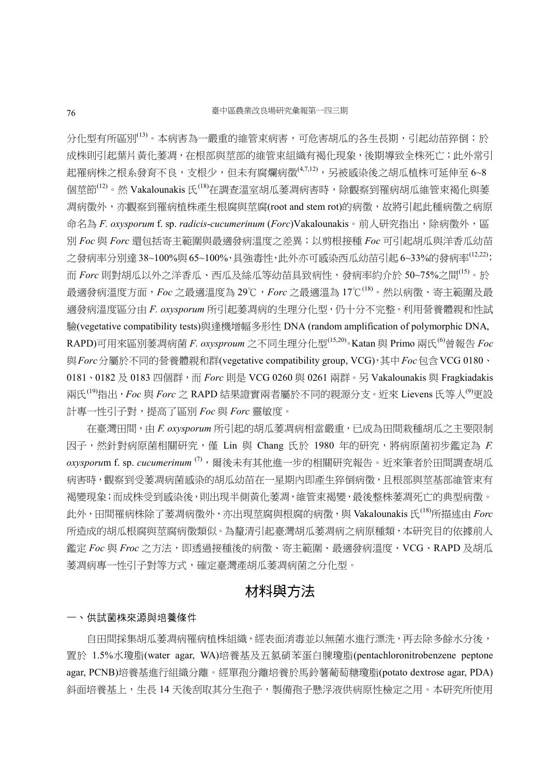分化型有所區別(13)。本病害為一嚴重的維管束病害,可危害胡瓜的各生長期,引起幼苗猝倒;於 成株則引起葉片黃化蔘凋,在根部與萃部的維管束組織有褐化現象,後期導致全株死亡;此外常引 起罹病株之根系發育不良,支根少,但未有腐爛病徵<sup>(4,7,12)</sup>,另被感染後之胡瓜植株可延伸至 6~8 個莖節(12)。然 Vakalounakis 氏(18)在調查溫室胡瓜萎凋病害時,除觀察到罹病胡瓜維管束褐化與萎 凋病徵外,亦觀察到罹病植株產生根腐與萃腐(root and stem rot)的病徵,故將引起此種病徵之病原 命名為 *F. oxysporum* f. sp. *radicis*-*cucumerinum* (*Forc*)Vakalounakis。前人研究指出,除病徵外,區 別 *Foc* 與 *Forc* 還包括寄主範圍與最適發病溫度之差異;以剪根接種 *Foc* 可引起胡瓜與洋香瓜幼苗 之發病率分別達 38~100%與 65~100%, 具強毒性, 此外亦可感染西瓜幼苗引起 6~33%的發病率<sup>(12,22)</sup>; 而 *Forc* 則對胡瓜以外之洋香瓜、西瓜及絲瓜等幼苗具致病性,發病率約介於 50~75%之間(15)。於 最適發病溫度方面,*Foc* 之最適溫度為 29℃,*Forc* 之最適溫為 17℃(18)。然以病徵、寄主範圍及最 適發病溫度區分由 *F. oxysporum* 所引起萎凋病的生理分化型,仍十分不完整。利用營養體親和性試 驗(vegetative compatibility tests)與逢機增幅多形性 DNA (random amplification of polymorphic DNA, RAPD)可用來區別萎凋病菌 *F. oxysproum* 之不同生理分化型(15,20)。Katan 與 Primo 兩氏(6)曾報告 *Foc* 與*Forc*分屬於不同的營養體親和群(vegetative compatibility group, VCG),其中*Foc*包含VCG 0180、 0181、0182 及 0183 四個群,而 *Forc* 則是 VCG 0260 與 0261 兩群。另 Vakalounakis 與 Fragkiadakis 兩氏(19)指出,*Foc* 與 *Forc* 之 RAPD 結果證實兩者屬於不同的親源分支。近來 Lievens 氏等人(9)更設 計專一性引子對,提高了區別 *Foc* 與 *Forc* 靈敏度。

 在臺灣田間,由 *F. oxysporum* 所引起的胡瓜萎凋病相當嚴重,已成為田間栽種胡瓜之主要限制 因子,然針對病原菌相關研究,僅 Lin 與 Chang 氏於 1980 年的研究,將病原菌初步鑑定為 *F. oxysporu*m f. sp. *cucumerinum* (7),爾後未有其他進一步的相關研究報告。近來筆者於田間調查胡瓜 病害時,觀察到受萎凋病菌感染的胡瓜幼苗在一星期內即產生猝倒病徵,且根部與莖基部維管束有 褐變現象;而成株受到感染後,則出現半側黃化萎凋,維管束褐變,最後整株萎凋死亡的典型病徵。 此外,田間罹病株除了萎凋病徵外,亦出現莖腐與根腐的病徵,與 Vakalounakis 氏(18)所描述由 *Forc* 所造成的胡瓜根腐與萃腐病徵類似。為釐清引起臺灣胡瓜萎凋病之病原種類,本研究目的依據前人 鑑定 *Foc* 與 *Froc* 之方法,即透過接種後的病徵、寄主範圍、最適發病溫度、VCG、RAPD 及胡瓜 萎凋病專一性引子對等方式,確定臺灣產胡瓜萎凋病菌之分化型。

# 材料與方法

#### 一、供試菌株來源與培養條件

 自田間採集胡瓜萎凋病罹病植株組織,經表面消毒並以無菌水進行漂洗,再去除多餘水分後, 置於 1.5%水瓊脂(water agar, WA)培養基及五氯硝苯蛋白腖瓊脂(pentachloronitrobenzene peptone agar, PCNB)培養基進行組織分離。經單孢分離培養於馬鈴薯葡萄糖瓊脂(potato dextrose agar, PDA) 斜面培養基上,生長 14 天後刮取其分生孢子,製備孢子懸浮液供病原性檢定之用。本研究所使用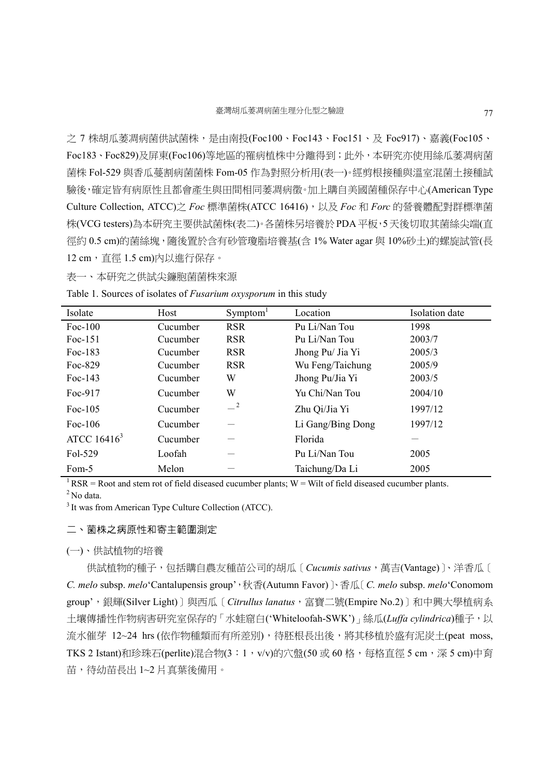之 7 株胡瓜萎凋病菌供試菌株,是由南投(Foc100、Foc143、Foc151、及 Foc917)、嘉義(Foc105、 Foc183、Foc829)及屏東(Foc106)等地區的罹病植株中分離得到;此外,本研究亦使用絲瓜萎凋病菌 菌株 Fol-529 與香瓜蔓割病菌菌株 Fom-05 作為對照分析用(表一)。經剪根接種與溫室混菌土接種試 驗後,確定皆有病原性且都會產生與田間相同萎凋病徵。加上購自美國菌種保存中心(American Type Culture Collection, ATCC)之 *Foc* 標準菌株(ATCC 16416),以及 *Foc* 和 *Forc* 的營養體配對群標準菌 株(VCG testers)為本研究主要供試菌株(表二)。各菌株另培養於PDA平板,5天後切取其菌絲尖端(直 徑約 0.5 cm)的菌絲塊,隨後置於含有砂管瓊脂培養基(含 1% Water agar 與 10%砂土)的螺旋試管(長 12 cm,直徑 1.5 cm)內以進行保存。

表一、本研究之供試尖鐮胞菌菌株來源

| Table 1. Sources of isolates of Fusarium oxysporum in this study |  |  |
|------------------------------------------------------------------|--|--|

| Isolate        | Host     | Symptom <sup>1</sup> | Location          | Isolation date |
|----------------|----------|----------------------|-------------------|----------------|
| $Foc-100$      | Cucumber | <b>RSR</b>           | Pu Li/Nan Tou     | 1998           |
| $Foc-151$      | Cucumber | <b>RSR</b>           | Pu Li/Nan Tou     | 2003/7         |
| Foc-183        | Cucumber | <b>RSR</b>           | Jhong Pu/ Jia Yi  | 2005/3         |
| Foc-829        | Cucumber | <b>RSR</b>           | Wu Feng/Taichung  | 2005/9         |
| Foc-143        | Cucumber | W                    | Jhong Pu/Jia Yi   | 2003/5         |
| Foc-917        | Cucumber | W                    | Yu Chi/Nan Tou    | 2004/10        |
| Foc-105        | Cucumber | $-2$                 | Zhu Oi/Jia Yi     | 1997/12        |
| Foc-106        | Cucumber |                      | Li Gang/Bing Dong | 1997/12        |
| ATCC $16416^3$ | Cucumber |                      | Florida           |                |
| Fol-529        | Loofah   |                      | Pu Li/Nan Tou     | 2005           |
| Fom-5          | Melon    |                      | Taichung/Da Li    | 2005           |

<sup>1</sup> RSR = Root and stem rot of field diseased cucumber plants; W = Wilt of field diseased cucumber plants. <sup>2</sup> No data.

<sup>3</sup> It was from American Type Culture Collection (ATCC).

#### 二、菌株之病原性和寄主範圍測定

### (一)、供試植物的培養

 供試植物的種子,包括購自農友種苗公司的胡瓜[*Cucumis sativus*,萬吉(Vantage)]、洋香瓜[ *C. melo* subsp. *melo*'Cantalupensis group',秋香(Autumn Favor)]、香瓜[*C. melo* subsp. *melo*'Conomom group', 銀輝(Silver Light)]與西瓜 [ Citrullus lanatus, 富寶二號(Empire No.2)] 和中興大學植病系 土壤傳播性作物病害研究室保存的「水蛙窟白('Whiteloofah-SWK')」絲瓜(*Luffa cylindrica*)種子,以 流水催芽 12~24 hrs (依作物種類而有所差別),待胚根長出後,將其移植於盛有泥炭土(peat moss, TKS 2 Istant)和珍珠石(perlite)混合物(3:1,v/v)的穴盤(50 或 60 格,每格直徑 5 cm,深 5 cm)中育 苗,待幼苗長出 1~2 片真葉後備用。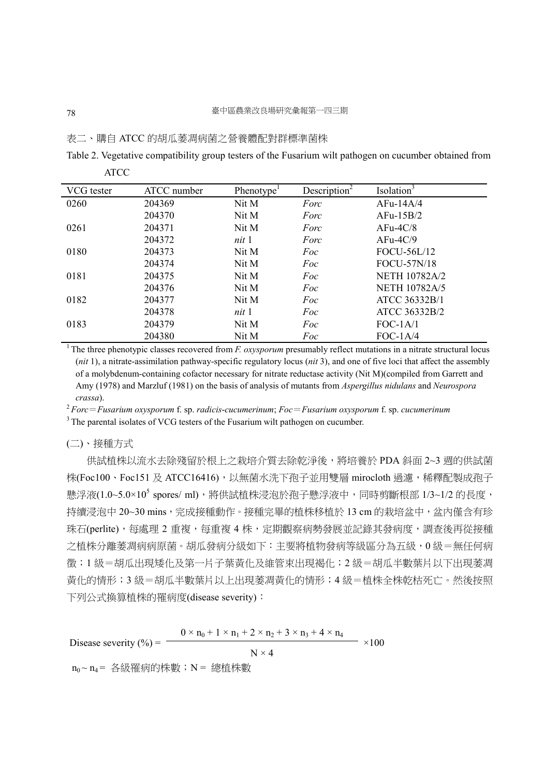#### 78 臺中區農業改良場研究彙報第一四三期

#### 表二、購自 ATCC 的胡瓜萎凋病菌之營養體配對群標準菌株

Table 2. Vegetative compatibility group testers of the Fusarium wilt pathogen on cucumber obtained from ATCC

| VCG tester | ATCC number | Phenotype <sup>1</sup> | Description <sup>2</sup> | Isolation <sup>3</sup> |
|------------|-------------|------------------------|--------------------------|------------------------|
| 0260       | 204369      | Nit M                  | Forc                     | $AFu-14A/4$            |
|            | 204370      | Nit M                  | Forc                     | $AFu-15B/2$            |
| 0261       | 204371      | Nit M                  | Forc                     | $AFu-4C/8$             |
|            | 204372      | nit 1                  | Forc                     | $AFu-4C/9$             |
| 0180       | 204373      | Nit M                  | Foc                      | FOCU-56L/12            |
|            | 204374      | Nit M                  | Foc                      | <b>FOCU-57N/18</b>     |
| 0181       | 204375      | Nit M                  | Foc                      | <b>NETH 10782A/2</b>   |
|            | 204376      | Nit M                  | Foc                      | <b>NETH 10782A/5</b>   |
| 0182       | 204377      | Nit M                  | Foc                      | ATCC 36332B/1          |
|            | 204378      | nit 1                  | Foc                      | ATCC 36332B/2          |
| 0183       | 204379      | Nit M                  | Foc                      | $FOC-1A/1$             |
|            | 204380      | Nit M                  | Foc                      | $FOC-1A/4$             |

<sup>1</sup> The three phenotypic classes recovered from *F. oxysporum* presumably reflect mutations in a nitrate structural locus (*nit* 1), a nitrate-assimilation pathway-specific regulatory locus (*nit* 3), and one of five loci that affect the assembly of a molybdenum-containing cofactor necessary for nitrate reductase activity (Nit M)(compiled from Garrett and Amy (1978) and Marzluf (1981) on the basis of analysis of mutants from *Aspergillus nidulans* and *Neurospora crassa*). 2 *Forc*=*Fusarium oxysporum* f. sp. *radicis*-*cucumerinum*; *Foc*=*Fusarium oxysporum* f. sp. *cucumerinum*

<sup>3</sup> The parental isolates of VCG testers of the Fusarium wilt pathogen on cucumber.

## (二)、接種方式

供試植株以流水去除殘留於根上之栽培介質去除乾淨後,將培養於 PDA 斜面 2~3 週的供試菌 株(Foc100、Foc151 及 ATCC16416),以無菌水洗下孢子並用雙層 mirocloth 過濾,稀釋配製成孢子 懸浮液(1.0~5.0×10 $^5$  spores/ ml),將供試植株浸泡於孢子懸浮液中,同時剪斷根部 1/3~1/2 的長度, 持續浸泡中 20~30 mins,完成接種動作。接種完畢的植株移植於 13 cm 的栽培盆中,盆内僅含有珍 珠石(perlite),每處理 2 重複,每重複 4 株,定期觀察病勢發展並記錄其發病度,調查後再從接種 之植株分離萎凋病病原菌。胡瓜發病分級如下:主要將植物發病等級區分為五級,0 級=無任何病 徵;1 級=胡瓜出現矮化及第一片子葉黃化及維管束出現褐化;2 級=胡瓜半數葉片以下出現萎凋 黃化的情形;3 級=胡瓜半數葉片以上出現萎凋黃化的情形;4 級=植株全株乾枯死亡。然後按照 下列公式換算植株的罹病度(disease severity):

Disease severity  $(\% )$  =  $0 \times n_0 + 1 \times n_1 + 2 \times n_2 + 3 \times n_3 + 4 \times n_4$  $\times100$  $N \times 4$ 

 $n_0 \sim n_4$ = 各級罹病的株數; N = 總植株數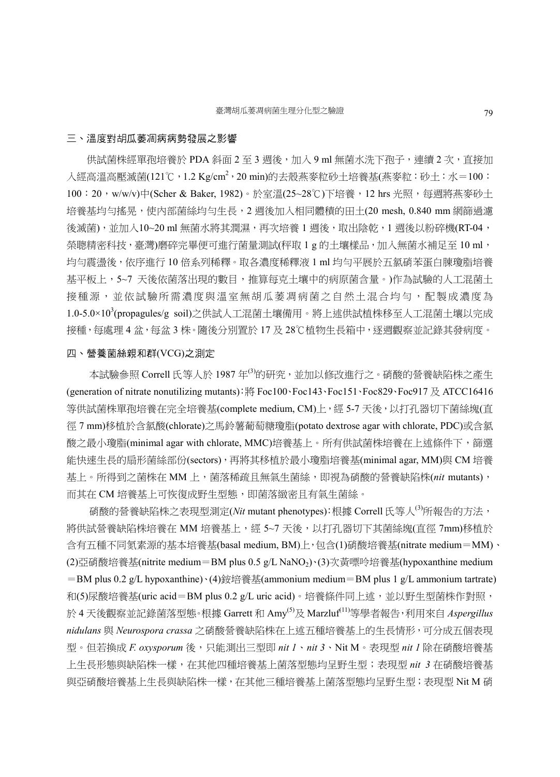#### 三、溫度對胡瓜萎凋病病勢發展之影響

供試菌株經單孢培養於 PDA 斜面 2 至 3 週後,加入 9 ml 無菌水洗下孢子,連續 2 次,直接加 入經高溫高壓滅菌(121℃,1.2 Kg/cm<sup>2</sup>,20 min)的去殼燕麥粒砂土培養基(燕麥粒:砂土:水=100: 100:20,w/w/v)中(Scher & Baker, 1982)。於室溫(25~28℃)下培養,12 hrs 光照,每週將燕麥砂土 培養基均勻搖晃,使內部菌絲均勻生長,2 週後加入相同體積的田土(20 mesh, 0.840 mm 網篩過濾 後滅菌),並加入10~20 ml 無菌水將其潤濕,再次培養 1 週後,取出陰乾,1 週後以粉碎機(RT-04, 榮聰精密科技,臺灣)磨碎完畢便可進行菌量測試(秤取 1 g 的土壤樣品, 加入無菌水補足至 10 ml, 均勻震盪後,依序進行 10 倍系列稀釋。取各濃度稀釋液 1 ml 均勻平展於五氯硝苯蛋白腖瓊脂培養 基平板上,5~7 天後依菌落出現的數目,推算每克土壤中的病原菌含量。)作為試驗的人工混菌土 接種源,並依試驗所需濃度與溫室無胡瓜萎凋病菌之自然土混合均勻,配製成濃度為 1.0-5.0×10<sup>3</sup>(propagules/g soil)之供試人工混菌土壤備用。將上述供試植株移至人工混菌土壤以完成 接種,每處理 4 盆,每盆 3 株。隨後分別置於 17 及 28℃植物生長箱中,逐週觀察並記錄其發病度。

#### 四、營養菌絲親和群(VCG)之測定

本試驗參照 Correll 氏等人於 1987 年<sup>(3)</sup>的研究,並加以修改進行之。硝酸的營養缺陷株之產生 (generation of nitrate nonutilizing mutants):將 Foc100、Foc143、Foc151、Foc829、Foc917 及 ATCC16416 等供試菌株單孢培養在完全培養基(complete medium, CM)上,經 5-7 天後,以打孔器切下菌絲塊(直 徑 7 mm)移植於含氯酸(chlorate)之馬鈴薯葡萄糖瓊脂(potato dextrose agar with chlorate, PDC)或含氯 酸之最小瓊脂(minimal agar with chlorate, MMC)培養基上。所有供試菌株培養在上述條件下,篩選 能快速生長的扇形菌絲部份(sectors),再將其移植於最小瓊脂培養基(minimal agar, MM)與 CM 培養 基上。所得到之菌株在 MM 上,菌落稀疏且無氣生菌絲,即視為硝酸的營養缺陷株(nit mutants), 而其在 CM 培養基上可恢復成野生型態,即菌落緻密且有氣生菌絲。

硝酸的營養缺陷株之表現型測定(*Nit* mutant phenotypes):根據 Correll 氏等人(3)所報告的方法, 將供試營養缺陷株培養在 MM 培養基上,經 5~7 天後,以打孔器切下其菌絲塊(直徑 7mm)移植於 含有五種不同氮素源的基本培養基(basal medium, BM)上,包含(1)硝酸培養基(nitrate medium=MM)、 (2)亞硝酸培養基(nitrite medium=BM plus 0.5 g/L NaNO2)、(3)次黃嘌呤培養基(hypoxanthine medium =BM plus 0.2 g/L hypoxanthine)、(4)銨培養基(ammonium medium=BM plus 1 g/L ammonium tartrate) 和(5)尿酸培養基(uric acid=BM plus 0.2 g/L uric acid)。培養條件同上述,並以野生型菌株作對照, 於 4 天後觀察並記錄菌落型態。根據 Garrett 和 Amy(5)及 Marzluf(11)等學者報告,利用來自 *Aspergillus nidulans* 與 *Neurospora crassa* 之硝酸營養缺陷株在上述五種培養基上的生長情形,可分成五個表現 型。但若換成 *F. oxysporum* 後,只能測出三型即 *nit 1*、*nit 3*、Nit M。表現型 *nit 1* 除在硝酸培養基 上生長形態與缺陷株一樣,在其他四種培養基上菌落型態均呈野生型;表現型 *nit 3* 在硝酸培養基 與亞硝酸培養基上生長與缺陷株一樣,在其他三種培養基上菌落型態均呈野生型;表現型 Nit M 硝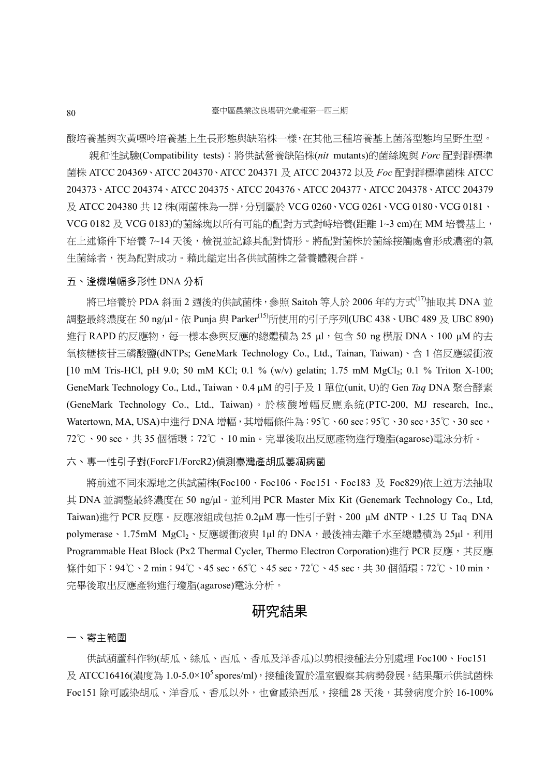酸培養基與次黃嘌呤培養基上生長形態與缺陷株一樣,在其他三種培養基上菌落型態均呈野生型。

親和性試驗(Compatibility tests):將供試營養缺陷株(*nit* mutants)的菌絲塊與 *Forc* 配對群標準 菌株 ATCC 204369、ATCC 204370、ATCC 204371 及 ATCC 204372 以及 *Foc* 配對群標準菌株 ATCC 204373、ATCC 204374、ATCC 204375、ATCC 204376、ATCC 204377、ATCC 204378、ATCC 204379 及 ATCC 204380 共 12 株(兩菌株為一群,分別屬於 VCG 0260、VCG 0261、VCG 0180、VCG 0181、 VCG 0182 及 VCG 0183)的菌絲塊以所有可能的配對方式對峙培養(距離 1~3 cm)在 MM 培養基上, 在上述條件下培養 7~14 天後,檢視並記錄其配對情形。將配對菌株於菌絲接觸處會形成濃密的氣 生菌絲者,視為配對成功。藉此鑑定出各供試菌株之營養體親合群。

#### 五、逢機增幅多形性 DNA 分析

將已培養於 PDA 斜面 2 週後的供試菌株,參照 Saitoh 等人於 2006 年的方式 $^{(17)}$ 抽取其 DNA 並 調整最終濃度在 50 ng/μl。依 Punja 與 Parker<sup>(15)</sup>所使用的引子序列(UBC 438、UBC 489 及 UBC 890) 進行 RAPD 的反應物,每一樣本參與反應的總體積為 25 μl,包含 50 ng 模版 DNA、100 μM 的去 氧核糖核苷三磷酸鹽(dNTPs; GeneMark Technology Co., Ltd., Tainan, Taiwan)、含 1 倍反應緩衝液 [10 mM Tris-HCl, pH 9.0; 50 mM KCl; 0.1 % (w/v) gelatin; 1.75 mM MgCl<sub>2</sub>; 0.1 % Triton X-100; GeneMark Technology Co., Ltd., Taiwan、0.4 μM 的引子及 1 單位(unit, U)的 Gen *Taq* DNA 聚合酵素 (GeneMark Technology Co., Ltd., Taiwan)。於核酸增幅反應系統(PTC-200, MJ research, Inc., Watertown, MA, USA)中進行 DNA 增幅, 其增幅條件為: 95℃、60 sec;95℃、30 sec,35℃、30 sec, 72℃、90 sec,共 35 個循環;72℃、10 min。完畢後取出反應產物進行瓊脂(agarose)電泳分析。

#### 六、專一性引子對(ForcF1/ForcR2)偵測臺灣產胡瓜萎凋病菌

 將前述不同來源地之供試菌株(Foc100、Foc106、Foc151、Foc183 及 Foc829)依上述方法抽取 其 DNA 並調整最終濃度在 50 ng/μl。並利用 PCR Master Mix Kit (Genemark Technology Co., Ltd, Taiwan)進行 PCR 反應。反應液組成包括 0.2μM 專一性引子對、200 μM dNTP、1.25 U Taq DNA polymerase、1.75mM MgCl2、反應緩衝液與 1μl 的 DNA,最後補去離子水至總體積為 25μl。利用 Programmable Heat Block (Px2 Thermal Cycler, Thermo Electron Corporation)進行 PCR 反應,其反應 條件如下:94℃、2 min;94℃、45 sec,65℃、45 sec,72℃、45 sec,共 30 個循環;72℃、10 min, 完畢後取出反應產物進行瓊脂(agarose)電泳分析。

## 研究結果

#### 一、寄主範圍

 供試葫蘆科作物(胡瓜、絲瓜、西瓜、香瓜及洋香瓜)以剪根接種法分別處理 Foc100、Foc151 及 ATCC16416(濃度為 1.0-5.0×10<sup>5</sup> spores/ml), 接種後置於溫室觀察其病勢發展。結果顯示供試菌株 Foc151 除可感染胡瓜、洋香瓜、香瓜以外,也會感染西瓜,接種 28 天後,其發病度介於 16-100%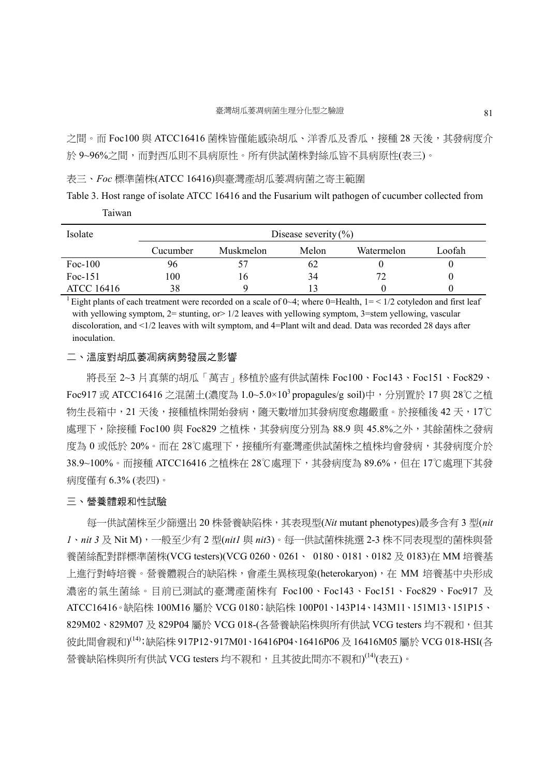之間。而 Foc100 與 ATCC16416 菌株皆僅能感染胡瓜、洋香瓜及香瓜,接種 28 天後,其發病度介 於 9~96%之間,而對西瓜則不具病原性。所有供試菌株對絲瓜皆不具病原性(表三)。

表三、*Foc* 標準菌株(ATCC 16416)與臺灣產胡瓜萎凋病菌之寄主範圍

Table 3. Host range of isolate ATCC 16416 and the Fusarium wilt pathogen of cucumber collected from

| Isolate           |          |           | Disease severity $(\% )$ |            |        |
|-------------------|----------|-----------|--------------------------|------------|--------|
|                   | Cucumber | Muskmelon | Melon                    | Watermelon | Loofah |
| Foc- $100$        | 96       |           | 62                       |            |        |
| Foc-151           | 100      | 16        | 34                       | 72         |        |
| <b>ATCC 16416</b> | 38       |           |                          |            |        |

<sup>1</sup> Eight plants of each treatment were recorded on a scale of 0~4; where 0=Health,  $1 = \frac{1}{2}$  cotyledon and first leaf with yellowing symptom,  $2$ = stunting, or> 1/2 leaves with yellowing symptom, 3=stem yellowing, vascular discoloration, and <1/2 leaves with wilt symptom, and 4=Plant wilt and dead. Data was recorded 28 days after inoculation.

## 二、溫度對胡瓜萎凋病病勢發展之影響

將長至 2~3 片真葉的胡瓜「萬吉」移植於盛有供試菌株 Foc100、Foc143、Foc151、Foc829、 Foc917 或 ATCC16416 之混菌土(濃度為 1.0~5.0×10<sup>3</sup> propagules/g soil)中, 分別置於 17 與 28℃之植 物生長箱中,21 天後,接種植株開始發病,隨天數增加其發病度愈趨嚴重。於接種後 42 天,17℃ 處理下,除接種 Foc100 與 Foc829 之植株,其發病度分別為 88.9 與 45.8%之外,其餘菌株之發病 度為 0 或低於 20%。而在 28℃處理下,接種所有臺灣產供試菌株之植株均會發病,其發病度介於 38.9~100%。而接種 ATCC16416 之植株在 28℃處理下,其發病度為 89.6%,但在 17℃處理下其發 病度僅有 6.3% (表四)。

## 三、營養體親和性試驗

Taiwan

 每一供試菌株至少篩選出 20 株營養缺陷株,其表現型(*Nit* mutant phenotypes)最多含有 3 型(*nit 1*、*nit 3* 及 Nit M),一般至少有 2 型(*nit1* 與 *nit*3)。每一供試菌株挑選 2-3 株不同表現型的菌株與營 養菌絲配對群標準菌株(VCG testers)(VCG 0260、0261、 0180、0181、0182 及 0183)在 MM 培養基 上進行對峙培養。營養體親合的缺陷株,會產生異核現象(heterokaryon), 在 MM 培養基中央形成 濃密的氣生菌絲。目前已測試的臺灣產菌株有 Foc100、Foc143、Foc151、Foc829、Foc917 及 ATCC16416。缺陷株 100M16 屬於 VCG 0180;缺陷株 100P01、143P14、143M11、151M13、151P15、 829M02、829M07 及 829P04 屬於 VCG 018-(各營養缺陷株與所有供試 VCG testers 均不親和, 但其 彼此間會親和)<sup>(14)</sup>;缺陷株 917P12、917M01、16416P04、16416P06 及 16416M05 屬於 VCG 018-HSI(各 營養缺陷株與所有供試 VCG testers 均不親和,且其彼此間亦不親和)<sup>(14)</sup>(表五)。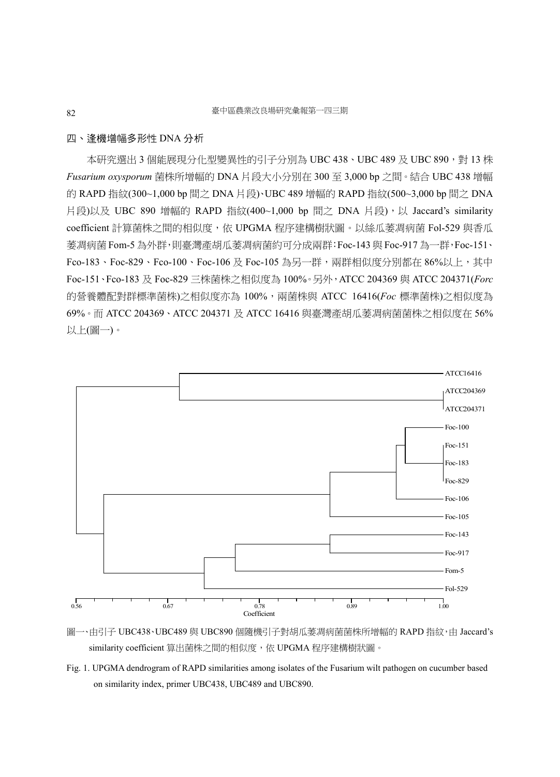### 四、逢機增幅多形性 DNA 分析

本研究選出 3 個能展現分化型變異性的引子分別為 UBC 438、UBC 489 及 UBC 890,對 13 株 *Fusarium oxysporum* 菌株所增幅的 DNA 片段大小分別在 300 至 3,000 bp 之間。結合 UBC 438 增幅 的 RAPD 指紋(300~1,000 bp 間之 DNA 片段)、UBC 489 增幅的 RAPD 指紋(500~3,000 bp 間之 DNA 片段)以及 UBC 890 增幅的 RAPD 指紋(400~1,000 bp 間之 DNA 片段),以 Jaccard's similarity coefficient 計算菌株之間的相似度,依 UPGMA 程序建構樹狀圖。以絲瓜萎凋病菌 Fol-529 與香瓜 萎凋病菌 Fom-5 為外群,則臺灣產胡瓜萎凋病菌約可分成兩群:Foc-143 與 Foc-917 為一群,Foc-151、 Fco-183、Foc-829、Fco-100、Foc-106 及 Foc-105 為另一群,兩群相似度分別都在 86%以上,其中 Foc-151、Fco-183 及 Foc-829 三株菌株之相似度為 100%。另外,ATCC 204369 與 ATCC 204371(*Forc* 的營養體配對群標準菌株)之相似度亦為 100%,兩菌株與 ATCC 16416(*Foc* 標準菌株)之相似度為 69%。而 ATCC 204369、ATCC 204371 及 ATCC 16416 與臺灣產胡瓜萎凋病菌菌株之相似度在 56% 以上(圖一)。



圖一、由引子 UBC438、UBC489 與 UBC890 個隨機引子對胡瓜萎凋病菌菌株所增幅的 RAPD 指紋,由 Jaccard's similarity coefficient 算出菌株之間的相似度,依 UPGMA 程序建構樹狀圖。

Fig. 1. UPGMA dendrogram of RAPD similarities among isolates of the Fusarium wilt pathogen on cucumber based on similarity index, primer UBC438, UBC489 and UBC890.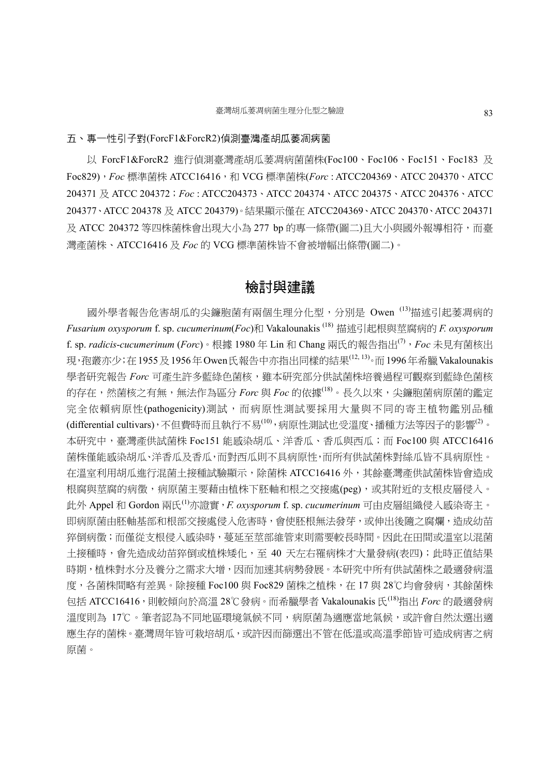## 五、專一性引子對(ForcF1&ForcR2)偵測臺灣產胡瓜萎凋病菌

 以 ForcF1&ForcR2 進行偵測臺灣產胡瓜萎凋病菌菌株(Foc100、Foc106、Foc151、Foc183 及 Foc829),*Foc* 標準菌株 ATCC16416,和 VCG 標準菌株(*Forc* : ATCC204369、ATCC 204370、ATCC 204371 及 ATCC 204372;*Foc* : ATCC204373、ATCC 204374、ATCC 204375、ATCC 204376、ATCC 204377、ATCC 204378 及 ATCC 204379)。結果顯示僅在 ATCC204369、ATCC 204370、ATCC 204371 及 ATCC 204372 等四株菌株會出現大小為 277 bp 的專一條帶(圖二)且大小與國外報導相符,而臺 灣產菌株、ATCC16416 及 *Foc* 的 VCG 標準菌株皆不會被增幅出條帶(圖二)。

# 檢討與建議

國外學者報告危害胡瓜的尖鐮胞菌有兩個生理分化型,分別是 Owen <sup>(13)</sup>描述引起萎凋病的 *Fusarium oxysporum* f. sp. *cucumerinum*(*Foc*)和 Vakalounakis (18) 描述引起根與莖腐病的 *F. oxysporum* f. sp. *radicis*-*cucumerinum* (*Forc*)。根據 1980 年 Lin 和 Chang 兩氏的報告指出(7),*Foc* 未見有菌核出 現, 孢叢亦少; 在1955 及1956年Owen氏報告中亦指出同樣的結果(12,13)。而1996年希臘 Vakalounakis 學者研究報告 Forc 可產生許多藍綠色菌核,雖本研究部分供試菌株培養過程可觀察到藍綠色菌核 的存在,然菌核之有無,無法作為區分 *Forc* 與 *Foc* 的依據(18)。長久以來,尖鐮胞菌病原菌的鑑定 完全依賴病原性(pathogenicity)測試,而病原性測試要採用大量與不同的寄主植物鑑別品種 (differential cultivars),不但費時而且執行不易(10),病原性測試也受溫度、播種方法等因子的影響(2)。 本研究中,臺灣產供試菌株 Foc151 能感染胡瓜、洋香瓜、香瓜與西瓜;而 Foc100 與 ATCC16416 菌株僅能感染胡瓜、洋香瓜及香瓜,而對西瓜則不具病原性,而所有供試菌株對絲瓜皆不具病原性。 在溫室利用胡瓜進行混菌土接種試驗顯示,除菌株 ATCC16416 外,其餘臺灣產供試菌株皆會造成 根腐與莖腐的病徵,病原菌主要藉由植株下胚軸和根之交接處(peg),或其附近的支根皮層侵入。 此外 Appel 和 Gordon 兩氏(1)亦證實,*F. oxysporum* f. sp. *cucumerinum* 可由皮層組織侵入感染寄主。 即病原菌由胚軸基部和根部交接處侵入危害時,會使胚根無法發芽,或伸出後隨之腐爛,造成幼苗 猝倒病徵;而僅從支根侵入感染時,蔓延至莖部維管束則需要較長時間。因此在田間或溫室以混菌 土接種時,會先造成幼苗猝倒或植株矮化,至 40 天左右罹病株才大量發病(表四);此時正值結果 時期,植株對水分及養分之需求大增,因而加速其病勢發展。本研究中所有供試菌株之最適發病溫 度,各菌株間略有差異。除接種 Foc100 與 Foc829 菌株之植株,在 17 與 28℃均會發病,其餘菌株 包括 ATCC16416,則較傾向於高溫 28℃發病。而希臘學者 Vakalounakis 氏(18)指出 *Forc* 的最適發病 溫度則為 17℃。筆者認為不同地區環境氣候不同,病原菌為適應當地氣候,或許會自然汰選出適 應生存的菌株。臺灣周年皆可栽培胡瓜,或許因而篩選出不管在低溫或高溫季節皆可造成病害之病 原菌。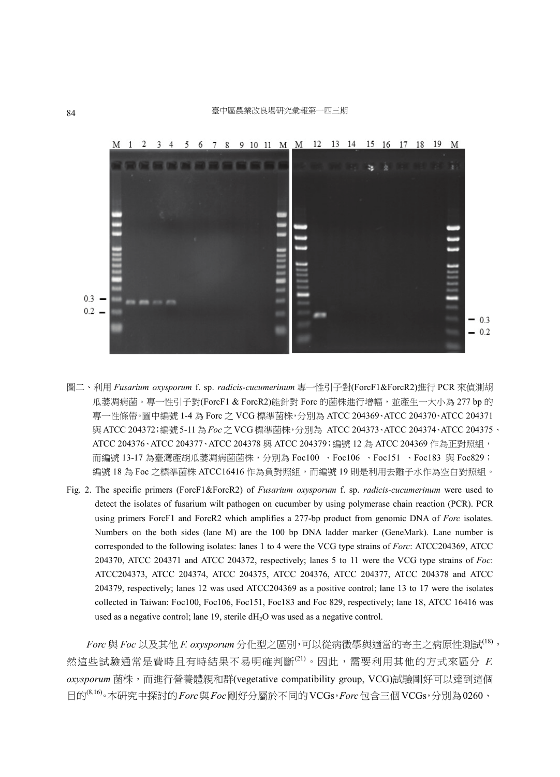

M 1 2 3 4 5 6 7 8 9 10 11 M M 12 13 14 15 16 17 18 19 M

- 圖二、利用 *Fusarium oxysporum* f. sp. *radicis-cucumerinum* 專一性引子對(ForcF1&ForcR2)進行 PCR 來偵測胡 瓜萎凋病菌。專一性引子對(ForcF1 & ForcR2)能針對 Forc 的菌株進行增幅,並產生一大小為 277 bp 的 專一性條帶。圖中編號 1-4 為 Forc 之 VCG 標準菌株,分別為 ATCC 204369、ATCC 204370、ATCC 204371 與 ATCC 204372;編號 5-11 為 *Foc* 之VCG標準菌株,分別為 ATCC 204373、ATCC 204374、ATCC 204375、 ATCC 204376、ATCC 204377、ATCC 204378 與 ATCC 204379;編號 12 為 ATCC 204369 作為正對照組, 而編號 13-17 為臺灣產胡瓜萎凋病菌菌株,分別為 Foc100 、Foc106 、Foc151 、Foc183 與 Foc829; 編號 18 為 Foc 之標準菌株 ATCC16416 作為負對照組, 而編號 19 則是利用去離子水作為空白對照組。
- Fig. 2. The specific primers (ForcF1&ForcR2) of *Fusarium oxysporum* f. sp. *radicis-cucumerinum* were used to detect the isolates of fusarium wilt pathogen on cucumber by using polymerase chain reaction (PCR). PCR using primers ForcF1 and ForcR2 which amplifies a 277-bp product from genomic DNA of *Forc* isolates. Numbers on the both sides (lane M) are the 100 bp DNA ladder marker (GeneMark). Lane number is corresponded to the following isolates: lanes 1 to 4 were the VCG type strains of *Forc*: ATCC204369, ATCC 204370, ATCC 204371 and ATCC 204372, respectively; lanes 5 to 11 were the VCG type strains of *Foc*: ATCC204373, ATCC 204374, ATCC 204375, ATCC 204376, ATCC 204377, ATCC 204378 and ATCC 204379, respectively; lanes 12 was used ATCC204369 as a positive control; lane 13 to 17 were the isolates collected in Taiwan: Foc100, Foc106, Foc151, Foc183 and Foc 829, respectively; lane 18, ATCC 16416 was used as a negative control; lane  $19$ , sterile  $dH<sub>2</sub>O$  was used as a negative control.

*Forc* 與 *Foc* 以及其他 *F. oxysporum* 分化型之區別,可以從病徵學與適當的寄主之病原性測試(18), 然這些試驗通常是費時且有時結果不易明確判斷(21)。因此,需要利用其他的方式來區分 *F.*  oxysporum 菌株,而進行營養體親和群(vegetative compatibility group, VCG)試驗剛好可以達到這個 目的(8,16)。本研究中探討的*Forc*與*Foc*剛好分屬於不同的VCGs,*Forc*包含三個VCGs,分別為0260、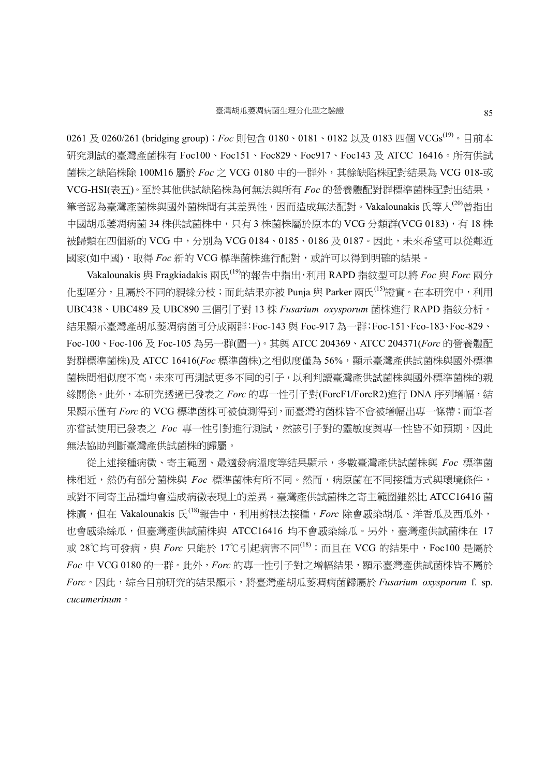0261 及 0260/261 (bridging group);*Foc* 則包含 0180、0181、0182 以及 0183 四個 VCGs(19)。目前本 研究測試的臺灣產菌株有 Foc100、Foc151、Foc829、Foc917、Foc143 及 ATCC 16416。所有供試 菌株之缺陷株除 100M16 屬於 *Foc* 之 VCG 0180 中的一群外,其餘缺陷株配對結果為 VCG 018-或 VCG-HSI(表五)。至於其他供試缺陷株為何無法與所有 *Foc* 的營養體配對群標準菌株配對出結果, 筆者認為臺灣產菌株與國外菌株間有其差異性,因而造成無法配對。Vakalounakis 氏等人 $^{(20)}$ 曾指出 中國胡瓜萎凋病菌 34 株供試菌株中,只有 3 株菌株屬於原本的 VCG 分類群(VCG 0183),有 18 株 被歸類在四個新的 VCG 中,分別為 VCG 0184、0185、0186 及 0187。因此,未來希望可以從鄰沂 國家(如中國),取得 *Foc* 新的 VCG 標準菌株進行配對,或許可以得到明確的結果。

 Vakalounakis 與 Fragkiadakis 兩氏(19)的報告中指出,利用 RAPD 指紋型可以將 *Foc* 與 *Forc* 兩分 化型區分,且屬於不同的親緣分枝;而此結果亦被 Punja 與 Parker 兩氏(15)證實。在本研究中,利用 UBC438、UBC489 及 UBC890 三個引子對 13 株 *Fusarium oxysporum* 菌株進行 RAPD 指紋分析。 結果顯示臺灣產胡瓜萎凋病菌可分成兩群:Foc-143 與 Foc-917 為一群;Foc-151、Fco-183、Foc-829、 Foc-100、Foc-106 及 Foc-105 為另一群(圖一)。其與 ATCC 204369、ATCC 204371(*Forc* 的營養體配 對群標準菌株)及 ATCC 16416(*Foc* 標準菌株)之相似度僅為 56%,顯示臺灣產供試菌株與國外標準 菌株間相似度不高,未來可再測試更多不同的引子,以利判讀臺灣產供試菌株與國外標準菌株的親 緣關係。此外,本研究透過已發表之 *Forc* 的專一性引子對(ForcF1/ForcR2)進行 DNA 序列增幅,結 果顯示僅有 *Forc* 的 VCG 標準菌株可被偵測得到,而臺灣的菌株皆不會被增幅出專一條帶;而筆者 亦嘗試使用已發表之 Foc 專一性引對進行測試,然該引子對的靈敏度與專一性皆不如預期,因此 無法協助判斷臺灣產供試菌株的歸屬。

從上述接種病徵、寄主範圍、最適發病溫度等結果顯示,多數臺灣產供試菌株與 *Foc* 標準菌 株相近,然仍有部分菌株與 *Foc* 標準菌株有所不同。然而,病原菌在不同接種方式與環境條件, 或對不同寄主品種均會造成病徵表現上的差異。臺灣產供試菌株之寄主範圍雖然比 ATCC16416 菌 株廣,但在 Vakalounakis 氏<sup>(18)</sup>報告中,利用剪根法接種,*Forc* 除會感染胡瓜、洋香瓜及西瓜外, 也會感染絲瓜,但臺灣產供試菌株與 ATCC16416 均不會感染絲瓜。另外,臺灣產供試菌株在 17 或 28℃均可發病,與 Forc 只能於 17℃引起病害不同<sup>(18)</sup>;而且在 VCG 的結果中, Foc100 是屬於 *Foc* 中 VCG 0180 的一群。此外,*Forc* 的專一性引子對之增幅結果,顯示臺灣產供試菌株皆不屬於 *Forc*。因此,綜合目前研究的結果顯示,將臺灣產胡瓜萎凋病菌歸屬於 *Fusarium oxysporum* f. sp. *cucumerinum*。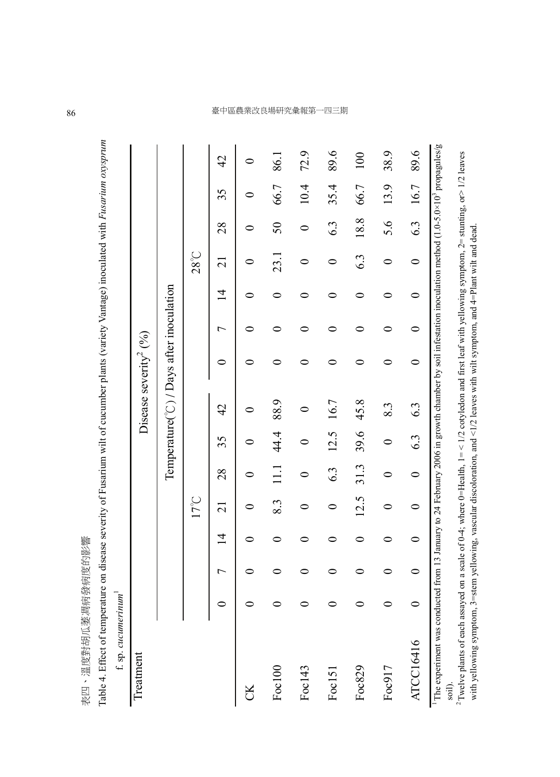| Treatment |   |   |                |                 |      |          | Disease severity <sup>2</sup> (%)        |   |   |                |                |      |      |                |
|-----------|---|---|----------------|-----------------|------|----------|------------------------------------------|---|---|----------------|----------------|------|------|----------------|
|           |   |   |                |                 |      |          | Temperature(°C) / Days after inoculation |   |   |                |                |      |      |                |
|           |   |   |                | 17°C            |      |          |                                          |   |   |                | 28°C           |      |      |                |
|           | 0 | 冖 | $\overline{4}$ | $\overline{21}$ | 28   | 35       | $\overline{4}$                           | 0 | 冖 | $\overline{4}$ | $\overline{c}$ | 28   | 35   | $\overline{4}$ |
| čK        |   |   |                |                 |      |          |                                          |   |   |                |                |      |      |                |
| Foc100    |   |   |                | 8.3             |      | 44.<br>4 | 88.9                                     |   |   |                | .<br>೧         | 50   | 66.7 | 86.1           |
| Foc143    |   |   |                | 0               |      | 0        | 0                                        |   |   |                | 0              | 0    | 10.4 | 72.9           |
| Foc151    |   |   |                | $\circ$         | 6.3  | 12.5     | 16.7                                     | c |   |                | 0              | 6.3  | 35.4 | 89.6           |
| Foc829    |   |   | ⊂              | 12.5            | 31.3 | 39.6     | 45.8                                     | ⊂ |   |                | 6.3            | 18.8 | 66.7 | 100            |
| Foc917    |   |   | ⊂              | ⊂               |      | 0        | $8.\overline{3}$                         |   | ⌒ |                | 0              | 5.6  | 13.9 | 38.9           |
| ATCC16416 | 0 |   | 0              | 0               | 0    | 6.3      | 6.3                                      | 0 | 0 | 0              | 0              | 6.3  | 16.7 | 89.6           |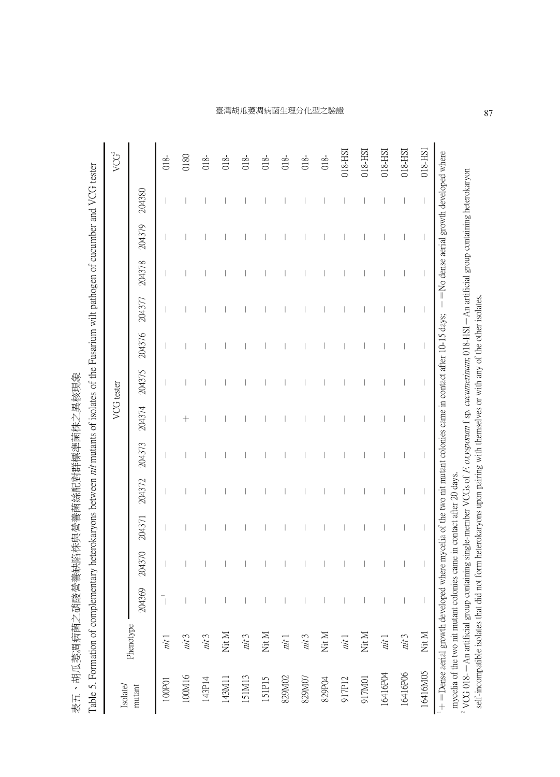| 204375<br>204374<br>$^{+}$ | 204377<br>204376 | 204379<br>204378 | 204380  |
|----------------------------|------------------|------------------|---------|
|                            |                  |                  |         |
|                            |                  |                  |         |
|                            |                  |                  |         |
|                            |                  |                  |         |
|                            |                  |                  |         |
|                            |                  |                  |         |
|                            |                  |                  |         |
|                            |                  |                  |         |
|                            |                  |                  |         |
|                            |                  |                  |         |
|                            |                  |                  | 018-HSI |
|                            |                  |                  | 018-HSI |
|                            |                  |                  | 018-HSI |
|                            |                  |                  |         |
|                            |                  |                  | 018-HSI |
|                            |                  |                  |         |

臺灣胡瓜萎凋病菌生理分化型之驗證 87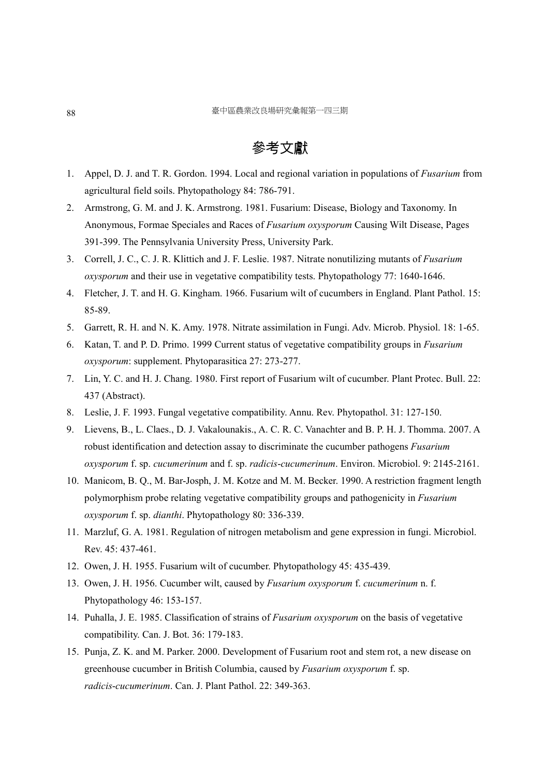參考文獻

- 1. Appel, D. J. and T. R. Gordon. 1994. Local and regional variation in populations of *Fusarium* from agricultural field soils. Phytopathology 84: 786-791.
- 2. Armstrong, G. M. and J. K. Armstrong. 1981. Fusarium: Disease, Biology and Taxonomy. In Anonymous, Formae Speciales and Races of *Fusarium oxysporum* Causing Wilt Disease, Pages 391-399. The Pennsylvania University Press, University Park.
- 3. Correll, J. C., C. J. R. Klittich and J. F. Leslie. 1987. Nitrate nonutilizing mutants of *Fusarium oxysporum* and their use in vegetative compatibility tests. Phytopathology 77: 1640-1646.
- 4. Fletcher, J. T. and H. G. Kingham. 1966. Fusarium wilt of cucumbers in England. Plant Pathol. 15: 85-89.
- 5. Garrett, R. H. and N. K. Amy. 1978. Nitrate assimilation in Fungi. Adv. Microb. Physiol. 18: 1-65.
- 6. Katan, T. and P. D. Primo. 1999 Current status of vegetative compatibility groups in *Fusarium oxysporum*: supplement. Phytoparasitica 27: 273-277.
- 7. Lin, Y. C. and H. J. Chang. 1980. First report of Fusarium wilt of cucumber. Plant Protec. Bull. 22: 437 (Abstract).
- 8. Leslie, J. F. 1993. Fungal vegetative compatibility. Annu. Rev. Phytopathol. 31: 127-150.
- 9. Lievens, B., L. Claes., D. J. Vakalounakis., A. C. R. C. Vanachter and B. P. H. J. Thomma. 2007. A robust identification and detection assay to discriminate the cucumber pathogens *Fusarium oxysporum* f. sp. *cucumerinum* and f. sp. *radicis*-*cucumerinum*. Environ. Microbiol. 9: 2145-2161.
- 10. Manicom, B. Q., M. Bar-Josph, J. M. Kotze and M. M. Becker. 1990. A restriction fragment length polymorphism probe relating vegetative compatibility groups and pathogenicity in *Fusarium oxysporum* f. sp. *dianthi*. Phytopathology 80: 336-339.
- 11. Marzluf, G. A. 1981. Regulation of nitrogen metabolism and gene expression in fungi. Microbiol. Rev. 45: 437-461.
- 12. Owen, J. H. 1955. Fusarium wilt of cucumber. Phytopathology 45: 435-439.
- 13. Owen, J. H. 1956. Cucumber wilt, caused by *Fusarium oxysporum* f. *cucumerinum* n. f. Phytopathology 46: 153-157.
- 14. Puhalla, J. E. 1985. Classification of strains of *Fusarium oxysporum* on the basis of vegetative compatibility. Can. J. Bot. 36: 179-183.
- 15. Punja, Z. K. and M. Parker. 2000. Development of Fusarium root and stem rot, a new disease on greenhouse cucumber in British Columbia, caused by *Fusarium oxysporum* f. sp. *radicis*-*cucumerinum*. Can. J. Plant Pathol. 22: 349-363.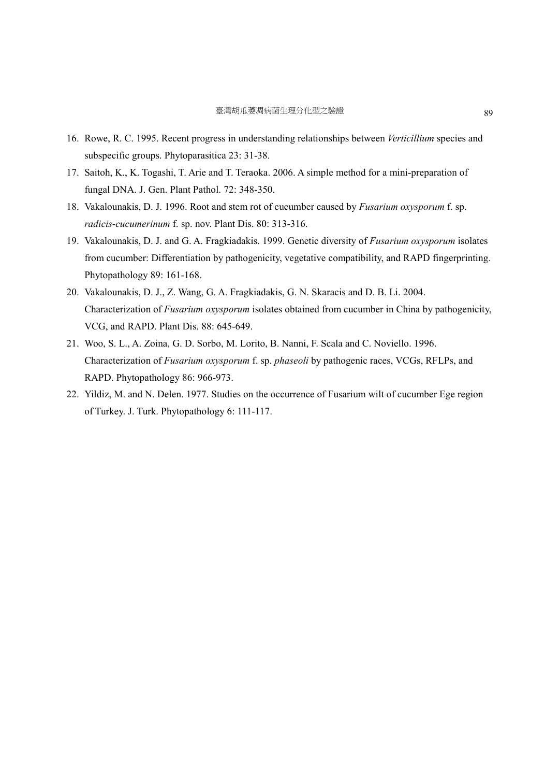- 16. Rowe, R. C. 1995. Recent progress in understanding relationships between *Verticillium* species and subspecific groups. Phytoparasitica 23: 31-38.
- 17. Saitoh, K., K. Togashi, T. Arie and T. Teraoka. 2006. A simple method for a mini-preparation of fungal DNA. J. Gen. Plant Pathol. 72: 348-350.
- 18. Vakalounakis, D. J. 1996. Root and stem rot of cucumber caused by *Fusarium oxysporum* f. sp. *radicis*-*cucumerinum* f. sp. nov. Plant Dis. 80: 313-316.
- 19. Vakalounakis, D. J. and G. A. Fragkiadakis. 1999. Genetic diversity of *Fusarium oxysporum* isolates from cucumber: Differentiation by pathogenicity, vegetative compatibility, and RAPD fingerprinting. Phytopathology 89: 161-168.
- 20. Vakalounakis, D. J., Z. Wang, G. A. Fragkiadakis, G. N. Skaracis and D. B. Li. 2004. Characterization of *Fusarium oxysporum* isolates obtained from cucumber in China by pathogenicity, VCG, and RAPD. Plant Dis. 88: 645-649.
- 21. Woo, S. L., A. Zoina, G. D. Sorbo, M. Lorito, B. Nanni, F. Scala and C. Noviello. 1996. Characterization of *Fusarium oxysporum* f. sp. *phaseoli* by pathogenic races, VCGs, RFLPs, and RAPD. Phytopathology 86: 966-973.
- 22. Yildiz, M. and N. Delen. 1977. Studies on the occurrence of Fusarium wilt of cucumber Ege region of Turkey. J. Turk. Phytopathology 6: 111-117.